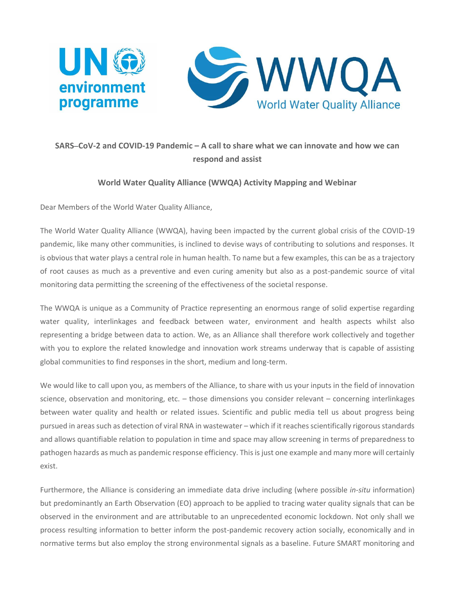

## **SARS**–**CoV-2 and COVID-19 Pandemic – A call to share what we can innovate and how we can respond and assist**

## **World Water Quality Alliance (WWQA) Activity Mapping and Webinar**

Dear Members of the World Water Quality Alliance,

The World Water Quality Alliance (WWQA), having been impacted by the current global crisis of the COVID-19 pandemic, like many other communities, is inclined to devise ways of contributing to solutions and responses. It is obvious that water plays a central role in human health. To name but a few examples, this can be as a trajectory of root causes as much as a preventive and even curing amenity but also as a post-pandemic source of vital monitoring data permitting the screening of the effectiveness of the societal response.

The WWQA is unique as a Community of Practice representing an enormous range of solid expertise regarding water quality, interlinkages and feedback between water, environment and health aspects whilst also representing a bridge between data to action. We, as an Alliance shall therefore work collectively and together with you to explore the related knowledge and innovation work streams underway that is capable of assisting global communities to find responses in the short, medium and long-term.

We would like to call upon you, as members of the Alliance, to share with us your inputs in the field of innovation science, observation and monitoring, etc. – those dimensions you consider relevant – concerning interlinkages between water quality and health or related issues. Scientific and public media tell us about progress being pursued in areas such as detection of viral RNA in wastewater – which if it reaches scientifically rigorous standards and allows quantifiable relation to population in time and space may allow screening in terms of preparedness to pathogen hazards as much as pandemic response efficiency. This is just one example and many more will certainly exist.

Furthermore, the Alliance is considering an immediate data drive including (where possible *in-situ* information) but predominantly an Earth Observation (EO) approach to be applied to tracing water quality signals that can be observed in the environment and are attributable to an unprecedented economic lockdown. Not only shall we process resulting information to better inform the post-pandemic recovery action socially, economically and in normative terms but also employ the strong environmental signals as a baseline. Future SMART monitoring and